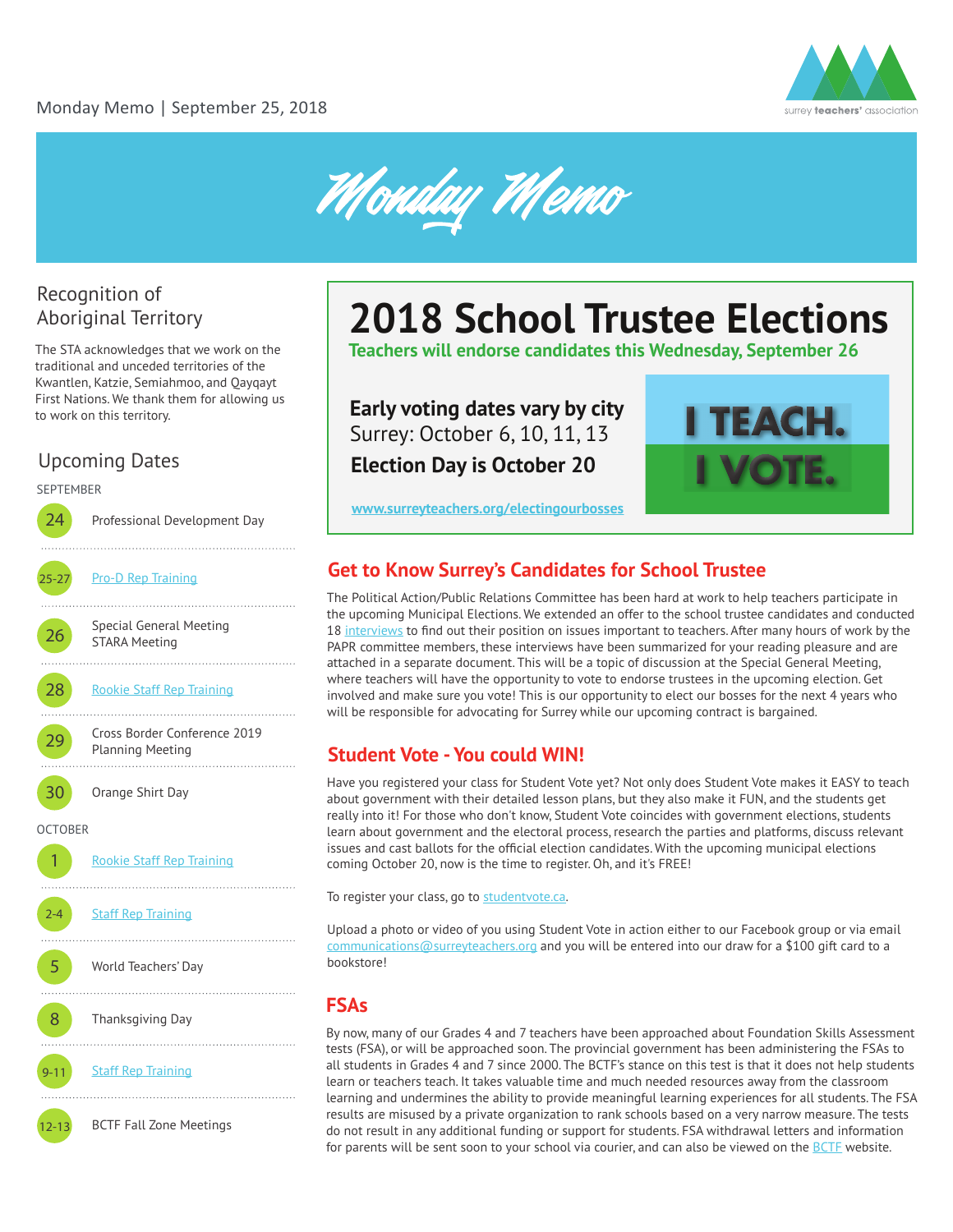



### Recognition of Aboriginal Territory

The STA acknowledges that we work on the traditional and unceded territories of the Kwantlen, Katzie, Semiahmoo, and Qayqayt First Nations. We thank them for allowing us to work on this territory.

## Upcoming Dates

SEPTEMBER

24 Professional Development Day . . . . . . . . . . 25-27 [Pro-D Rep Training](https://pd-rep-training-2018.eventbrite.ca) . . . . . . . . . . **26** Special General Meeting STARA Meeting 28 [Rookie Staff Rep Training](https://rookie-training-2018.eventbrite.ca) 29 Cross Border Conference 2019 Planning Meeting . . . . . . . . . . . 30 Orange Shirt Day **OCTOBER** 1 [Rookie Staff Rep Training](https://rookie-training-2018.eventbrite.ca) 2-4 **[Staff Rep Training](https://staffrep-training-2018.eventbrite.ca)** . . . . . . 5 World Teachers' Day 8 Thanksgiving Day 9-11 [Staff Rep Training](https://staffrep-training-2018.eventbrite.ca) 12-13 BCTF Fall Zone Meetings

## **2018 School Trustee Elections**

**Teachers will endorse candidates this Wednesday, September 26**

## **Early voting dates vary by city** Surrey: October 6, 10, 11, 13

**Election Day is October 20**



#### **www.surreyteachers.org/electingourbosses**

#### **Get to Know Surrey's Candidates for School Trustee**

The Political Action/Public Relations Committee has been hard at work to help teachers participate in the upcoming Municipal Elections. We extended an offer to the school trustee candidates and conducted 18 [interviews](http://www.surreyteachers.org/wp-content/uploads/2018/09/School-Trustee-Candidates-Interview-summaries.pdf) to find out their position on issues important to teachers. After many hours of work by the PAPR committee members, these interviews have been summarized for your reading pleasure and are attached in a separate document. This will be a topic of discussion at the Special General Meeting, where teachers will have the opportunity to vote to endorse trustees in the upcoming election. Get involved and make sure you vote! This is our opportunity to elect our bosses for the next 4 years who will be responsible for advocating for Surrey while our upcoming contract is bargained.

#### **Student Vote - You could WIN!**

Have you registered your class for Student Vote yet? Not only does Student Vote makes it EASY to teach about government with their detailed lesson plans, but they also make it FUN, and the students get really into it! For those who don't know, Student Vote coincides with government elections, students learn about government and the electoral process, research the parties and platforms, discuss relevant issues and cast ballots for the official election candidates. With the upcoming municipal elections coming October 20, now is the time to register. Oh, and it's FREE!

To register your class, go to [studentvote.ca.](http://studentvote.ca/)

Upload a photo or video of you using Student Vote in action either to our Facebook group or via email communications@surreyteachers.org and you will be entered into our draw for a \$100 gift card to a bookstore!

#### **FSAs**

By now, many of our Grades 4 and 7 teachers have been approached about Foundation Skills Assessment tests (FSA), or will be approached soon. The provincial government has been administering the FSAs to all students in Grades 4 and 7 since 2000. The BCTF's stance on this test is that it does not help students learn or teachers teach. It takes valuable time and much needed resources away from the classroom learning and undermines the ability to provide meaningful learning experiences for all students. The FSA results are misused by a private organization to rank schools based on a very narrow measure. The tests do not result in any additional funding or support for students. FSA withdrawal letters and information for parents will be sent soon to your school via courier, and can also be viewed on the [BCTF](https://bctf.ca/fsa.aspx) website.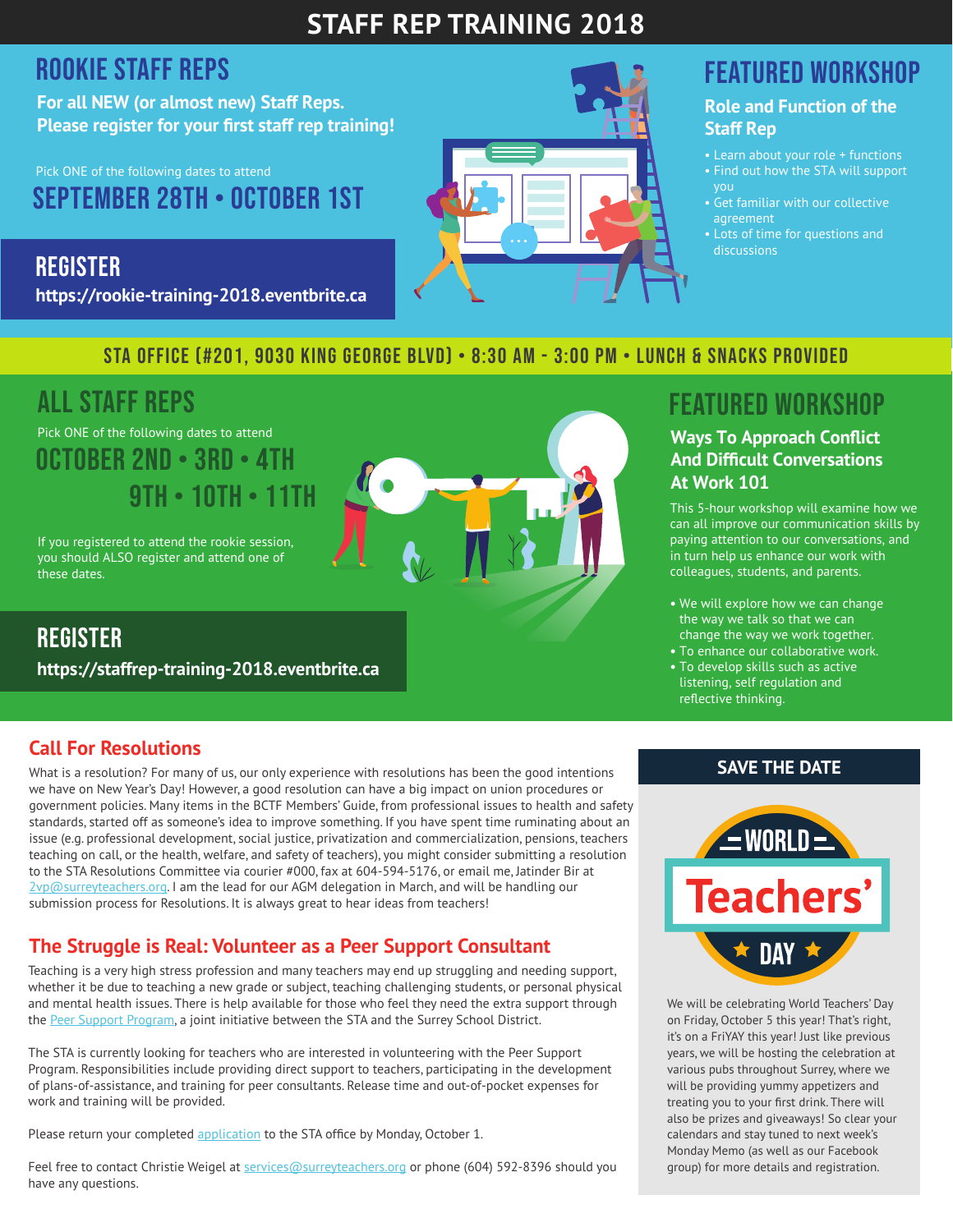## **STAFF REP TRAINING 2018**

## ROOKIE Staff reps

**For all NEW (or almost new) Staff Reps. Please register for your first staff rep training!**

September 28th • October 1st Pick ONE of the following dates to attend

**REGISTER https://rookie-training-2018.eventbrite.ca**

## STA Office (#201, 9030 King George Blvd) • 8:30 am - 3:00 pm • lunch & snacks provided

## All staff rePs

Pick ONE of the following dates to attend October 2nd • 3rd • 4th 9th • 10th • 11th

If you registered to attend the rookie session, you should ALSO register and attend one of these dates.

**REGISTER https://staffrep-training-2018.eventbrite.ca**

### **Call For Resolutions**

What is a resolution? For many of us, our only experience with resolutions has been the good intentions we have on New Year's Day! However, a good resolution can have a big impact on union procedures or government policies. Many items in the BCTF Members' Guide, from professional issues to health and safety standards, started off as someone's idea to improve something. If you have spent time ruminating about an issue (e.g. professional development, social justice, privatization and commercialization, pensions, teachers teaching on call, or the health, welfare, and safety of teachers), you might consider submitting a resolution to the STA Resolutions Committee via courier #000, fax at 604-594-5176, or email me, Jatinder Bir at 2vp@surreyteachers.org. I am the lead for our AGM delegation in March, and will be handling our submission process for Resolutions. It is always great to hear ideas from teachers!

## **The Struggle is Real: Volunteer as a Peer Support Consultant**

Teaching is a very high stress profession and many teachers may end up struggling and needing support, whether it be due to teaching a new grade or subject, teaching challenging students, or personal physical and mental health issues. There is help available for those who feel they need the extra support through the [Peer Support Program](https://www.surreyteachers.org/services/peer-support/), a joint initiative between the STA and the Surrey School District.

The STA is currently looking for teachers who are interested in volunteering with the Peer Support Program. Responsibilities include providing direct support to teachers, participating in the development of plans-of-assistance, and training for peer consultants. Release time and out-of-pocket expenses for work and training will be provided.

Please return your complete[d application](https://www.surreyteachers.org/wp-content/uploads/2018/07/PEERSUPPORT-VolunteerApplication.pdf) to the STA office by Monday, October 1.

Feel free to contact Christie Weigel at services@surreyteachers.org or phone (604) 592-8396 should you have any questions.

## Featured Workshop

#### **Role and Function of the Staff Rep**

- Learn about your role + functions
- Find out how the STA will support you
- Get familiar with our collective agreement
- Lots of time for questions and discussions

## Featured Workshop

#### **Ways To Approach Conflict And Difficult Conversations At Work 101**

This 5-hour workshop will examine how we can all improve our communication skills by paying attention to our conversations, and in turn help us enhance our work with colleagues, students, and parents.

- **•** We will explore how we can change the way we talk so that we can change the way we work together.
- **•** To enhance our collaborative work.
- **•** To develop skills such as active listening, self regulation and reflective thinking.

#### **SAVE THE DATE**



We will be celebrating World Teachers' Day on Friday, October 5 this year! That's right, it's on a FriYAY this year! Just like previous years, we will be hosting the celebration at various pubs throughout Surrey, where we will be providing yummy appetizers and treating you to your first drink. There will also be prizes and giveaways! So clear your calendars and stay tuned to next week's Monday Memo (as well as our Facebook group) for more details and registration.

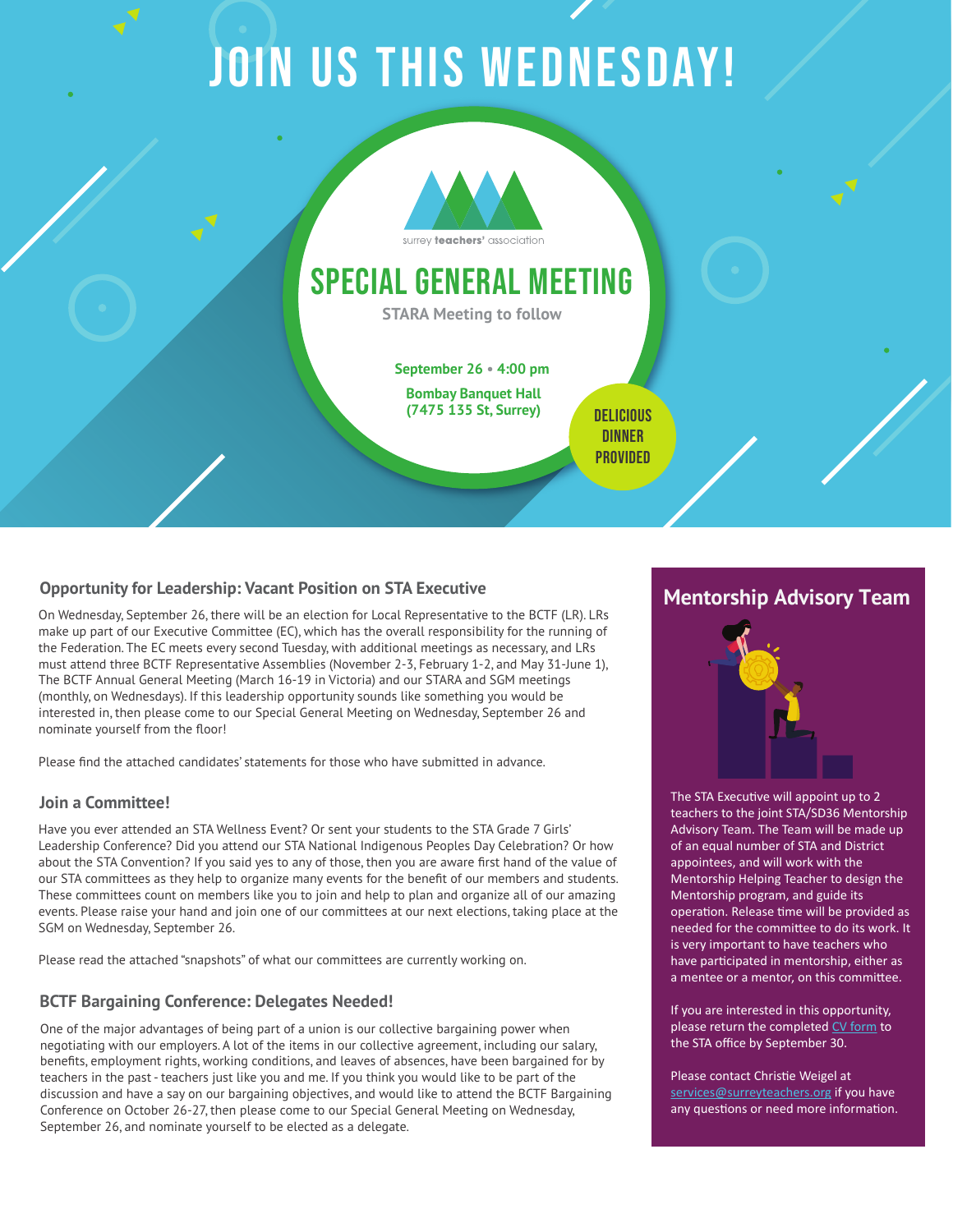# JOIN US THIS WEDNESDAY!



## special general meeting

**STARA Meeting to follow**

**September 26 • 4:00 pm**

**Bombay Banquet Hall** (7475 135 St, Surrey) DELICIOUS

**DINNER PROVIDED** 

#### **Opportunity for Leadership: Vacant Position on STA Executive**

On Wednesday, September 26, there will be an election for Local Representative to the BCTF (LR). LRs make up part of our Executive Committee (EC), which has the overall responsibility for the running of the Federation. The EC meets every second Tuesday, with additional meetings as necessary, and LRs must attend three BCTF Representative Assemblies (November 2-3, February 1-2, and May 31-June 1), The BCTF Annual General Meeting (March 16-19 in Victoria) and our STARA and SGM meetings (monthly, on Wednesdays). If this leadership opportunity sounds like something you would be interested in, then please come to our Special General Meeting on Wednesday, September 26 and nominate yourself from the floor!

Please find the attached candidates' statements for those who have submitted in advance.

#### **Join a Committee!**

Have you ever attended an STA Wellness Event? Or sent your students to the STA Grade 7 Girls' Leadership Conference? Did you attend our STA National Indigenous Peoples Day Celebration? Or how about the STA Convention? If you said yes to any of those, then you are aware first hand of the value of our STA committees as they help to organize many events for the benefit of our members and students. These committees count on members like you to join and help to plan and organize all of our amazing events. Please raise your hand and join one of our committees at our next elections, taking place at the SGM on Wednesday, September 26.

Please read the attached "snapshots" of what our committees are currently working on.

#### **BCTF Bargaining Conference: Delegates Needed!**

One of the major advantages of being part of a union is our collective bargaining power when negotiating with our employers. A lot of the items in our collective agreement, including our salary, benefits, employment rights, working conditions, and leaves of absences, have been bargained for by teachers in the past - teachers just like you and me. If you think you would like to be part of the discussion and have a say on our bargaining objectives, and would like to attend the BCTF Bargaining Conference on October 26-27, then please come to our Special General Meeting on Wednesday, September 26, and nominate yourself to be elected as a delegate.

#### **Mentorship Advisory Team**



The STA Executive will appoint up to 2 teachers to the joint STA/SD36 Mentorship Advisory Team. The Team will be made up of an equal number of STA and District appointees, and will work with the Mentorship Helping Teacher to design the Mentorship program, and guide its operation. Release time will be provided as needed for the commi�ee to do its work. It is very important to have teachers who have participated in mentorship, either as a mentee or a mentor, on this committee.

If you are interested in this opportunity, please return the completed [CV form](https://www.surreyteachers.org/wp-content/uploads/2018/07/CMT-STACV-Form.pdf) to the STA office by September 30.

Please contact Christie Weigel at services@surreyteachers.org if you have any questions or need more information.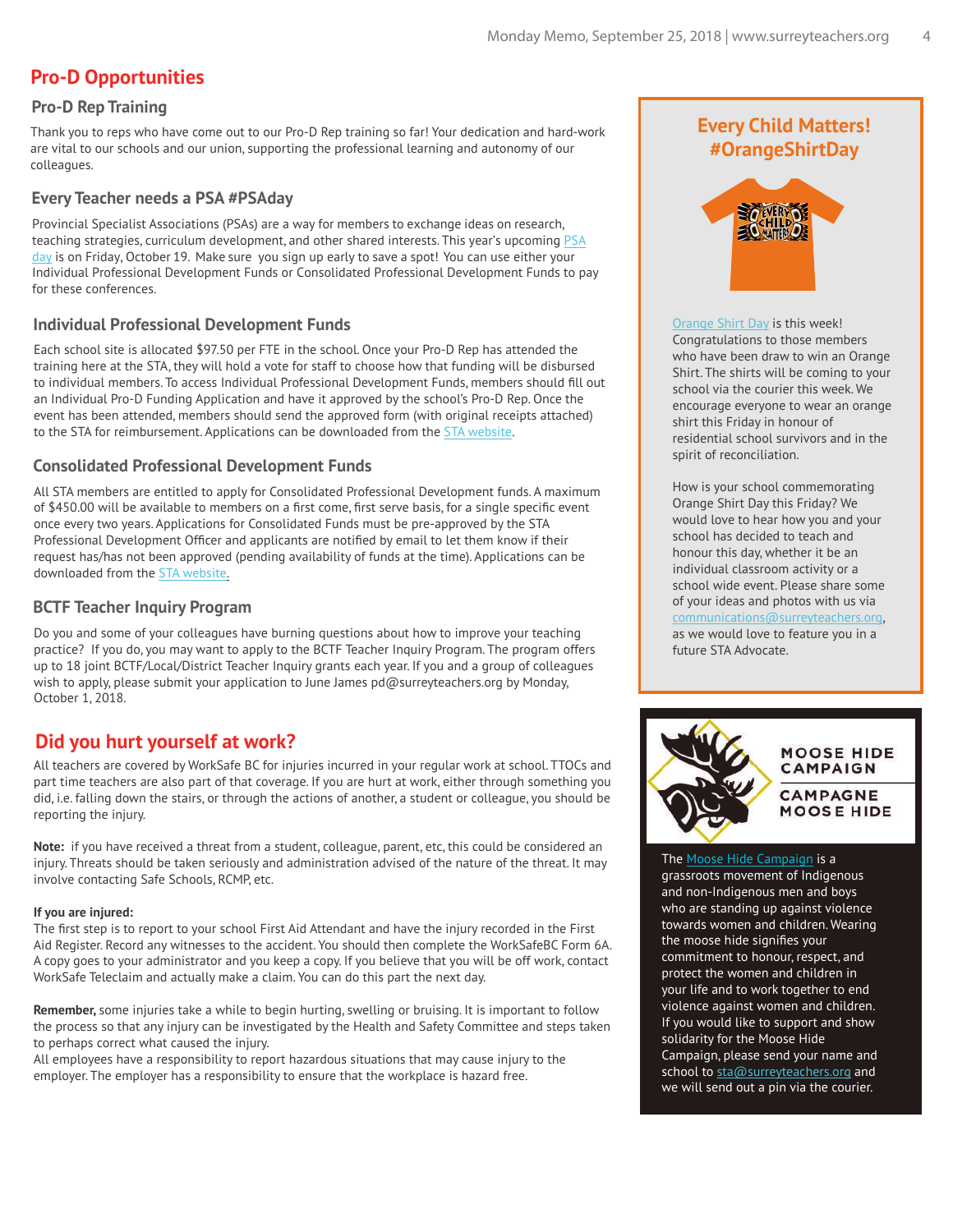#### **Pro-D Opportunities**

#### **Pro-D Rep Training**

Thank you to reps who have come out to our Pro-D Rep training so far! Your dedication and hard-work are vital to our schools and our union, supporting the professional learning and autonomy of our colleagues.

#### **Every Teacher needs a PSA #PSAday**

Provincial Specialist Associations (PSAs) are a way for members to exchange ideas on research, teaching strategies, curriculum development, and other shared interests. This year's upcoming [PSA](https://bctf.ca/PDCalendar/index.cfm?action=day&date=43392) [day](https://bctf.ca/PDCalendar/index.cfm?action=day&date=43392) is on Friday, October 19. Make sure you sign up early to save a spot! You can use either your Individual Professional Development Funds or Consolidated Professional Development Funds to pay for these conferences.

#### **Individual Professional Development Funds**

Each school site is allocated \$97.50 per FTE in the school. Once your Pro-D Rep has attended the training here at the STA, they will hold a vote for staff to choose how that funding will be disbursed to individual members. To access Individual Professional Development Funds, members should fill out an Individual Pro-D Funding Application and have it approved by the school's Pro-D Rep. Once the event has been attended, members should send the approved form (with original receipts attached) to the STA for reimbursement. Applications can be downloaded from th[e STA website.](http://www.surreyteachers.org/forms-resources/forms/#PDFORMS)

#### **Consolidated Professional Development Funds**

All STA members are entitled to apply for Consolidated Professional Development funds. A maximum of \$450.00 will be available to members on a first come, first serve basis, for a single specific event once every two years. Applications for Consolidated Funds must be pre-approved by the STA Professional Development Officer and applicants are notified by email to let them know if their request has/has not been approved (pending availability of funds at the time). Applications can be downloaded from the [STA website.](http://www.surreyteachers.org/forms-resources/forms/#PDFORMS) 

#### **BCTF Teacher Inquiry Program**

Do you and some of your colleagues have burning questions about how to improve your teaching practice? If you do, you may want to apply to the BCTF Teacher Inquiry Program. The program offers up to 18 joint BCTF/Local/District Teacher Inquiry grants each year. If you and a group of colleagues wish to apply, please submit your application to June James pd@surreyteachers.org by Monday, October 1, 2018.

#### **Did you hurt yourself at work?**

All teachers are covered by WorkSafe BC for injuries incurred in your regular work at school. TTOCs and part time teachers are also part of that coverage. If you are hurt at work, either through something you did, i.e. falling down the stairs, or through the actions of another, a student or colleague, you should be reporting the injury.

**Note:** if you have received a threat from a student, colleague, parent, etc, this could be considered an injury. Threats should be taken seriously and administration advised of the nature of the threat. It may involve contacting Safe Schools, RCMP, etc.

#### **If you are injured:**

The first step is to report to your school First Aid Attendant and have the injury recorded in the First Aid Register. Record any witnesses to the accident. You should then complete the WorkSafeBC Form 6A. A copy goes to your administrator and you keep a copy. If you believe that you will be off work, contact WorkSafe Teleclaim and actually make a claim. You can do this part the next day.

**Remember,** some injuries take a while to begin hurting, swelling or bruising. It is important to follow the process so that any injury can be investigated by the Health and Safety Committee and steps taken to perhaps correct what caused the injury.

All employees have a responsibility to report hazardous situations that may cause injury to the employer. The employer has a responsibility to ensure that the workplace is hazard free.

#### **Every Child Matters! #OrangeShirtDay**



[Orange Shirt Day](http://www.orangeshirtday.org/phyllis-story.html) is this week! Congratulations to those members who have been draw to win an Orange Shirt. The shirts will be coming to your school via the courier this week. We encourage everyone to wear an orange shirt this Friday in honour of residential school survivors and in the spirit of reconciliation.

How is your school commemorating Orange Shirt Day this Friday? We would love to hear how you and your school has decided to teach and honour this day, whether it be an individual classroom activity or a school wide event. Please share some of your ideas and photos with us via communications@surreyteachers.org, as we would love to feature you in a future STA Advocate.



#### The [Moose Hide Campaign](https://moosehidecampaign.ca/) is a

grassroots movement of Indigenous and non-Indigenous men and boys who are standing up against violence towards women and children. Wearing the moose hide signifies your commitment to honour, respect, and protect the women and children in your life and to work together to end violence against women and children. If you would like to support and show solidarity for the Moose Hide Campaign, please send your name and school to sta@surreyteachers.org and we will send out a pin via the courier.